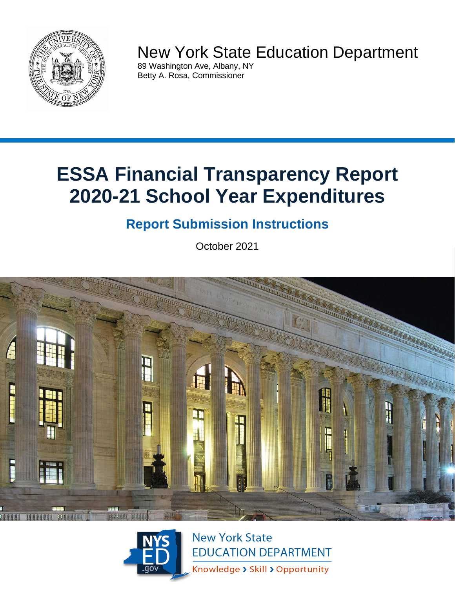

# New York State Education Department

89 Washington Ave, Albany, NY Betty A. Rosa, Commissioner

# **ESSA Financial Transparency Report 2020-21 School Year Expenditures**

# **Report Submission Instructions**

October 2021





**New York State EDUCATION DEPARTMENT** Knowledge > Skill > Opportunity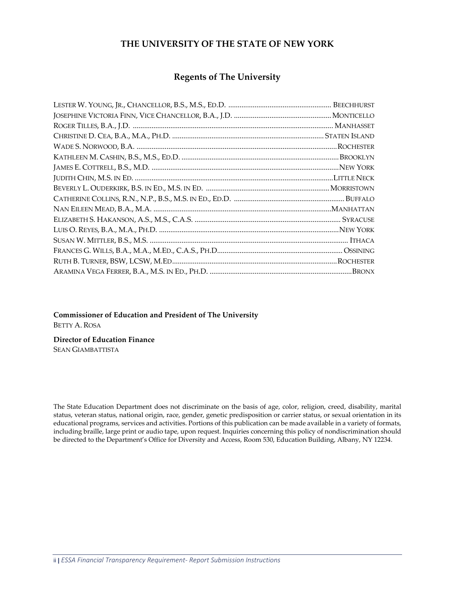### **THE UNIVERSITY OF THE STATE OF NEW YORK**

### **Regents of The University**

**Commissioner of Education and President of The University** BETTY A. ROSA

**Director of Education Finance** 

SEAN GIAMBATTISTA

The State Education Department does not discriminate on the basis of age, color, religion, creed, disability, marital status, veteran status, national origin, race, gender, genetic predisposition or carrier status, or sexual orientation in its educational programs, services and activities. Portions of this publication can be made available in a variety of formats, including braille, large print or audio tape, upon request. Inquiries concerning this policy of nondiscrimination should be directed to the Department's Office for Diversity and Access, Room 530, Education Building, Albany, NY 12234.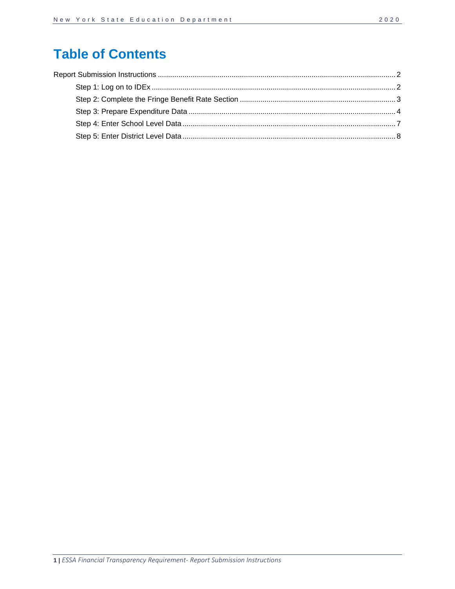## **Table of Contents**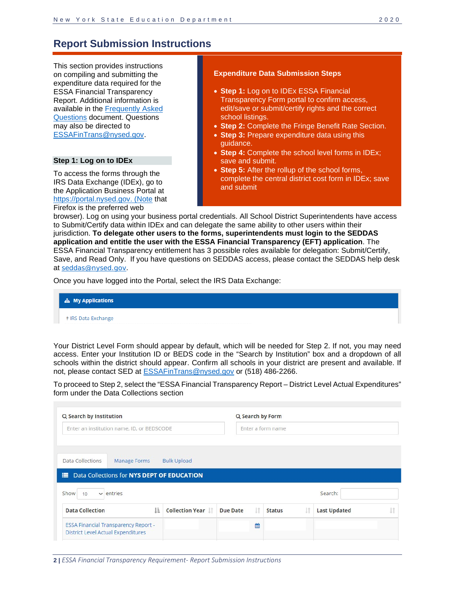### <span id="page-3-0"></span>**Report Submission Instructions**

This section provides instructions on compiling and submitting the expenditure data required for the ESSA Financial Transparency Report. Additional information is available in the [Frequently Asked](http://www.oms.nysed.gov/faru/ESSAFinancialTransparencyFAQ.html)  [Questions](http://www.oms.nysed.gov/faru/ESSAFinancialTransparencyFAQ.html) document. Questions may also be directed to [ESSAFinTrans@nysed.gov.](mailto:ESSAFinTrans@nysed.gov)

#### <span id="page-3-1"></span>**Step 1: Log on to IDEx**

To access the forms through the IRS Data Exchange (IDEx), go to the Application Business Portal at https://portal.nysed.gov. (Note that Firefox is the preferred web

#### **Expenditure Data Submission Steps**

- **Step 1:** Log on to IDEx ESSA Financial Transparency Form portal to confirm access, edit/save or submit/certify rights and the correct school listings.
- **Step 2:** Complete the Fringe Benefit Rate Section.
- **Step 3:** Prepare expenditure data using this guidance.
- **Step 4:** Complete the school level forms in IDEx; save and submit.
- **Step 5:** After the rollup of the school forms, complete the central district cost form in IDEx; save and submit

browser). Log on using your business portal credentials. All School District Superintendents have access to Submit/Certify data within IDEx and can delegate the same ability to other users within their jurisdiction. **To delegate other users to the forms, superintendents must login to the SEDDAS application and entitle the user with the ESSA Financial Transparency (EFT) application**. The ESSA Financial Transparency entitlement has 3 possible roles available for delegation: Submit/Certify, Save, and Read Only. If you have questions on SEDDAS access, please contact the SEDDAS help desk at [seddas@nysed.gov](mailto:seddas@nysed.gov).

Once you have logged into the Portal, select the IRS Data Exchange:

| <b>上 My Applications</b> |  |
|--------------------------|--|
| IRS Data Exchange        |  |

Your District Level Form should appear by default, which will be needed for Step 2. If not, you may need access. Enter your Institution ID or BEDS code in the "Search by Institution" box and a dropdown of all schools within the district should appear. Confirm all schools in your district are present and available. If not, please contact SED at [ESSAFinTrans@nysed.gov](mailto:ESSAFinTrans@nysed.gov) or (518) 486-2266.

To proceed to Step 2, select the "ESSA Financial Transparency Report – District Level Actual Expenditures" form under the Data Collections section

| Q Search by Institution                                                         |                           |                 |   | Q Search by Form  |    |                     |  |
|---------------------------------------------------------------------------------|---------------------------|-----------------|---|-------------------|----|---------------------|--|
| Enter an institution name, ID, or BEDSCODE                                      |                           |                 |   | Enter a form name |    |                     |  |
| Data Collections<br><b>Manage Forms</b>                                         | <b>Bulk Upload</b>        |                 |   |                   |    |                     |  |
| Data Collections for NYS DEPT OF EDUCATION<br>⋿<br>Show<br>$\vee$ entries<br>10 |                           |                 |   |                   |    | Search:             |  |
| ΠÈ<br><b>Data Collection</b>                                                    | <b>Collection Year IT</b> | <b>Due Date</b> |   | <b>Status</b>     | 11 | <b>Last Updated</b> |  |
| <b>ESSA Financial Transparency Report -</b>                                     |                           |                 | 鱛 |                   |    |                     |  |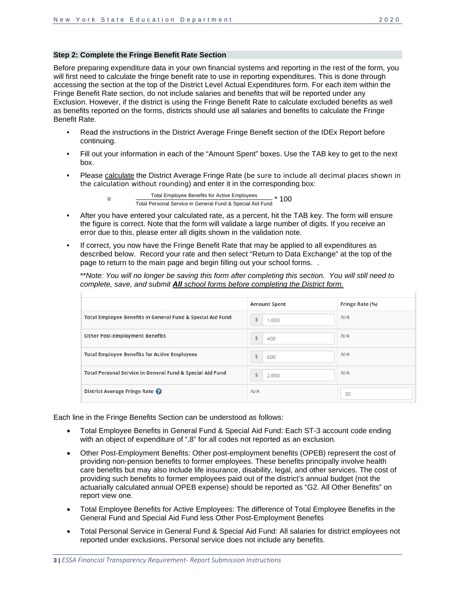#### <span id="page-4-0"></span>**Step 2: Complete the Fringe Benefit Rate Section**

Before preparing expenditure data in your own financial systems and reporting in the rest of the form, you will first need to calculate the fringe benefit rate to use in reporting expenditures. This is done through accessing the section at the top of the District Level Actual Expenditures form. For each item within the Fringe Benefit Rate section, do not include salaries and benefits that will be reported under any Exclusion. However, if the district is using the Fringe Benefit Rate to calculate excluded benefits as well as benefits reported on the forms, districts should use all salaries and benefits to calculate the Fringe Benefit Rate.

- Read the instructions in the District Average Fringe Benefit section of the IDEx Report before continuing.
- Fill out your information in each of the "Amount Spent" boxes. Use the TAB key to get to the next box.
- Please calculate the District Average Fringe Rate (be sure to include all decimal places shown in the calculation without rounding) and enter it in the corresponding box:

Total Employee Benefits for Active Employees Total Employee Benefits for Active Employees \* 100<br>Total Personal Service in General Fund & Special Aid Fund

- After you have entered your calculated rate, as a percent, hit the TAB key. The form will ensure the figure is correct. Note that the form will validate a large number of digits. If you receive an error due to this, please enter all digits shown in the validation note.
- If correct, you now have the Fringe Benefit Rate that may be applied to all expenditures as described below. Record your rate and then select "Return to Data Exchange" at the top of the page to return to the main page and begin filling out your school forms. .

\*\**Note: You will no longer be saving this form after completing this section. You will still need to complete, save, and submit All school forms before completing the District form.* 

|                                                            | <b>Amount Spent</b> | Fringe Rate (%) |
|------------------------------------------------------------|---------------------|-----------------|
| Total Employee Benefits in General Fund & Special Aid Fund | \$<br>1,000         | N/A             |
| <b>Other Post-Employment Benefits</b>                      | \$<br>400           | N/A             |
| <b>Total Employee Benefits for Active Employees</b>        | \$<br>600           | N/A             |
| Total Personal Service in General Fund & Special Aid Fund  | \$<br>2,000         | N/A             |
| District Average Fringe Rate                               | N/A                 | 30              |

Each line in the Fringe Benefits Section can be understood as follows:

- Total Employee Benefits in General Fund & Special Aid Fund: Each ST-3 account code ending with an object of expenditure of ".8" for all codes not reported as an exclusion.
- Other Post-Employment Benefits: Other post-employment benefits (OPEB) represent the cost of providing non-pension benefits to former employees. These benefits principally involve health care benefits but may also include life insurance, disability, legal, and other services. The cost of providing such benefits to former employees paid out of the district's annual budget (not the actuarially calculated annual OPEB expense) should be reported as "G2. All Other Benefits" on report view one.
- Total Employee Benefits for Active Employees: The difference of Total Employee Benefits in the General Fund and Special Aid Fund less Other Post-Employment Benefits
- Total Personal Service in General Fund & Special Aid Fund: All salaries for district employees not reported under exclusions. Personal service does not include any benefits.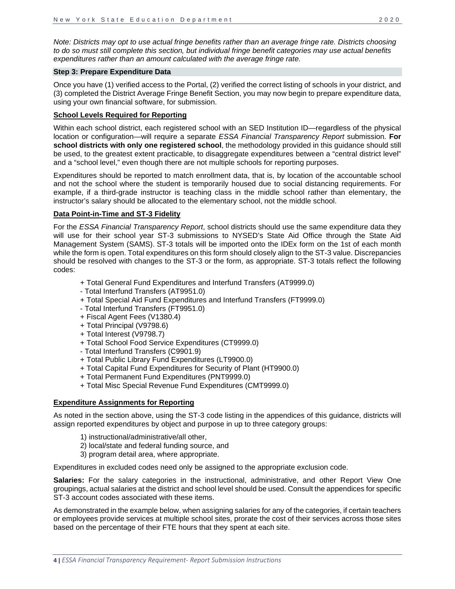*Note: Districts may opt to use actual fringe benefits rather than an average fringe rate. Districts choosing to do so must still complete this section, but individual fringe benefit categories may use actual benefits expenditures rather than an amount calculated with the average fringe rate.*

#### <span id="page-5-0"></span>**Step 3: Prepare Expenditure Data**

Once you have (1) verified access to the Portal, (2) verified the correct listing of schools in your district, and (3) completed the District Average Fringe Benefit Section, you may now begin to prepare expenditure data, using your own financial software, for submission.

#### **School Levels Required for Reporting**

Within each school district, each registered school with an SED Institution ID—regardless of the physical location or configuration—will require a separate *ESSA Financial Transparency Report* submission. **For school districts with only one registered school**, the methodology provided in this guidance should still be used, to the greatest extent practicable, to disaggregate expenditures between a "central district level" and a "school level," even though there are not multiple schools for reporting purposes.

Expenditures should be reported to match enrollment data, that is, by location of the accountable school and not the school where the student is temporarily housed due to social distancing requirements. For example, if a third-grade instructor is teaching class in the middle school rather than elementary, the instructor's salary should be allocated to the elementary school, not the middle school.

#### **Data Point-in-Time and ST-3 Fidelity**

For the *ESSA Financial Transparency Report*, school districts should use the same expenditure data they will use for their school year ST-3 submissions to NYSED's State Aid Office through the State Aid Management System (SAMS). ST-3 totals will be imported onto the IDEx form on the 1st of each month while the form is open. Total expenditures on this form should closely align to the ST-3 value. Discrepancies should be resolved with changes to the ST-3 or the form, as appropriate. ST-3 totals reflect the following codes:

- + Total General Fund Expenditures and Interfund Transfers (AT9999.0)
- Total Interfund Transfers (AT9951.0)
- + Total Special Aid Fund Expenditures and Interfund Transfers (FT9999.0)
- Total Interfund Transfers (FT9951.0)
- + Fiscal Agent Fees (V1380.4)
- + Total Principal (V9798.6)
- + Total Interest (V9798.7)
- + Total School Food Service Expenditures (CT9999.0)
- Total Interfund Transfers (C9901.9)
- + Total Public Library Fund Expenditures (LT9900.0)
- + Total Capital Fund Expenditures for Security of Plant (HT9900.0)
- + Total Permanent Fund Expenditures (PNT9999.0)
- + Total Misc Special Revenue Fund Expenditures (CMT9999.0)

#### **Expenditure Assignments for Reporting**

As noted in the section above, using the ST-3 code listing in the appendices of this guidance, districts will assign reported expenditures by object and purpose in up to three category groups:

- 1) instructional/administrative/all other,
- 2) local/state and federal funding source, and
- 3) program detail area, where appropriate.

Expenditures in excluded codes need only be assigned to the appropriate exclusion code.

**Salaries:** For the salary categories in the instructional, administrative, and other Report View One groupings, actual salaries at the district and school level should be used. Consult the appendices for specific ST-3 account codes associated with these items.

As demonstrated in the example below, when assigning salaries for any of the categories, if certain teachers or employees provide services at multiple school sites, prorate the cost of their services across those sites based on the percentage of their FTE hours that they spent at each site.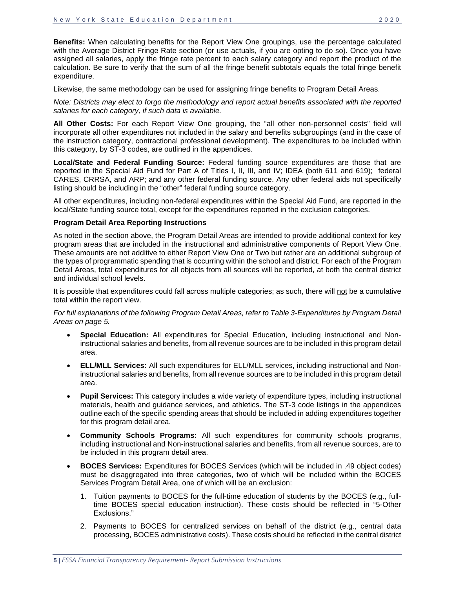**Benefits:** When calculating benefits for the Report View One groupings, use the percentage calculated with the Average District Fringe Rate section (or use actuals, if you are opting to do so). Once you have assigned all salaries, apply the fringe rate percent to each salary category and report the product of the calculation. Be sure to verify that the sum of all the fringe benefit subtotals equals the total fringe benefit expenditure.

Likewise, the same methodology can be used for assigning fringe benefits to Program Detail Areas.

*Note: Districts may elect to forgo the methodology and report actual benefits associated with the reported salaries for each category, if such data is available.*

**All Other Costs:** For each Report View One grouping, the "all other non-personnel costs" field will incorporate all other expenditures not included in the salary and benefits subgroupings (and in the case of the instruction category, contractional professional development). The expenditures to be included within this category, by ST-3 codes, are outlined in the appendices.

**Local/State and Federal Funding Source:** Federal funding source expenditures are those that are reported in the Special Aid Fund for Part A of Titles I, II, III, and IV; IDEA (both 611 and 619); federal CARES, CRRSA, and ARP; and any other federal funding source. Any other federal aids not specifically listing should be including in the "other" federal funding source category.

All other expenditures, including non-federal expenditures within the Special Aid Fund, are reported in the local/State funding source total, except for the expenditures reported in the exclusion categories.

#### **Program Detail Area Reporting Instructions**

As noted in the section above, the Program Detail Areas are intended to provide additional context for key program areas that are included in the instructional and administrative components of Report View One. These amounts are not additive to either Report View One or Two but rather are an additional subgroup of the types of programmatic spending that is occurring within the school and district. For each of the Program Detail Areas, total expenditures for all objects from all sources will be reported, at both the central district and individual school levels.

It is possible that expenditures could fall across multiple categories; as such, there will not be a cumulative total within the report view.

*For full explanations of the following Program Detail Areas, refer to Table 3-Expenditures by Program Detail Areas on page 5.* 

- **Special Education:** All expenditures for Special Education, including instructional and Noninstructional salaries and benefits, from all revenue sources are to be included in this program detail area.
- **ELL/MLL Services:** All such expenditures for ELL/MLL services, including instructional and Noninstructional salaries and benefits, from all revenue sources are to be included in this program detail area.
- **Pupil Services:** This category includes a wide variety of expenditure types, including instructional materials, health and guidance services, and athletics. The ST-3 code listings in the appendices outline each of the specific spending areas that should be included in adding expenditures together for this program detail area.
- **Community Schools Programs:** All such expenditures for community schools programs, including instructional and Non-instructional salaries and benefits, from all revenue sources, are to be included in this program detail area.
- **BOCES Services:** Expenditures for BOCES Services (which will be included in .49 object codes) must be disaggregated into three categories, two of which will be included within the BOCES Services Program Detail Area, one of which will be an exclusion:
	- 1. Tuition payments to BOCES for the full-time education of students by the BOCES (e.g., fulltime BOCES special education instruction). These costs should be reflected in "5-Other Exclusions."
	- 2. Payments to BOCES for centralized services on behalf of the district (e.g., central data processing, BOCES administrative costs). These costs should be reflected in the central district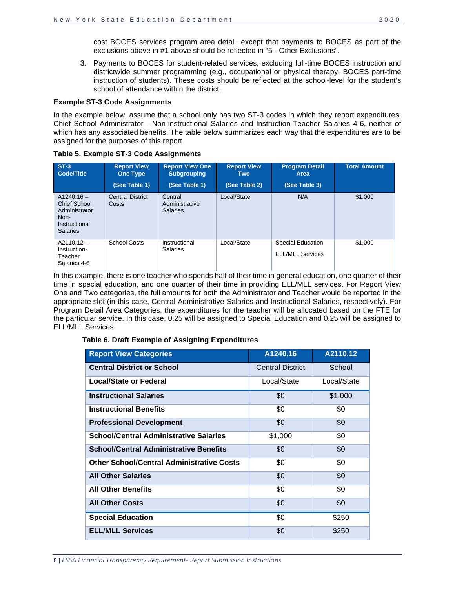cost BOCES services program area detail, except that payments to BOCES as part of the exclusions above in #1 above should be reflected in "5 - Other Exclusions".

3. Payments to BOCES for student-related services, excluding full-time BOCES instruction and districtwide summer programming (e.g., occupational or physical therapy, BOCES part-time instruction of students). These costs should be reflected at the school-level for the student's school of attendance within the district.

#### **Example ST-3 Code Assignments**

In the example below, assume that a school only has two ST-3 codes in which they report expenditures: Chief School Administrator - Non-instructional Salaries and Instruction-Teacher Salaries 4-6, neither of which has any associated benefits. The table below summarizes each way that the expenditures are to be assigned for the purposes of this report.

| $ST-3$<br><b>Code/Title</b>                                                               | <b>Report View</b><br><b>One Type</b><br>(See Table 1) | <b>Report View One</b><br><b>Subgrouping</b><br>(See Table 1) | <b>Report View</b><br><b>Two</b><br>(See Table 2) | <b>Program Detail</b><br>Area<br>(See Table 3)      | <b>Total Amount</b> |
|-------------------------------------------------------------------------------------------|--------------------------------------------------------|---------------------------------------------------------------|---------------------------------------------------|-----------------------------------------------------|---------------------|
| $A1240.16 -$<br>Chief School<br>Administrator<br>Non-<br>Instructional<br><b>Salaries</b> | <b>Central District</b><br>Costs                       | Central<br>Administrative<br><b>Salaries</b>                  | Local/State                                       | N/A                                                 | \$1,000             |
| $A2110.12 -$<br>Instruction-<br>Teacher<br>Salaries 4-6                                   | <b>School Costs</b>                                    | Instructional<br><b>Salaries</b>                              | Local/State                                       | <b>Special Education</b><br><b>ELL/MLL Services</b> | \$1,000             |

**Table 5. Example ST-3 Code Assignments**

In this example, there is one teacher who spends half of their time in general education, one quarter of their time in special education, and one quarter of their time in providing ELL/MLL services. For Report View One and Two categories, the full amounts for both the Administrator and Teacher would be reported in the appropriate slot (in this case, Central Administrative Salaries and Instructional Salaries, respectively). For Program Detail Area Categories, the expenditures for the teacher will be allocated based on the FTE for the particular service. In this case, 0.25 will be assigned to Special Education and 0.25 will be assigned to ELL/MLL Services.

#### **Table 6. Draft Example of Assigning Expenditures**

| <b>Report View Categories</b>                    | A1240.16                | A2110.12    |
|--------------------------------------------------|-------------------------|-------------|
| <b>Central District or School</b>                | <b>Central District</b> | School      |
| <b>Local/State or Federal</b>                    | Local/State             | Local/State |
| <b>Instructional Salaries</b>                    | \$0                     | \$1,000     |
| <b>Instructional Benefits</b>                    | \$0                     | \$0         |
| <b>Professional Development</b>                  | \$0                     | \$0         |
| <b>School/Central Administrative Salaries</b>    | \$1,000                 | \$0         |
| <b>School/Central Administrative Benefits</b>    | \$0                     | \$0         |
| <b>Other School/Central Administrative Costs</b> | \$0                     | \$0         |
| <b>All Other Salaries</b>                        | \$0                     | \$0         |
| <b>All Other Benefits</b>                        | \$0                     | \$0         |
| <b>All Other Costs</b>                           | \$0                     | \$0         |
| <b>Special Education</b>                         | \$0                     | \$250       |
| <b>ELL/MLL Services</b>                          | \$0                     | \$250       |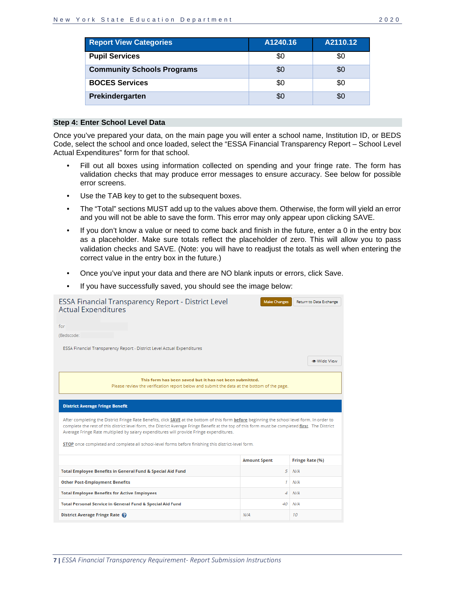| <b>Report View Categories</b>     | A1240.16 | A2110.12 |
|-----------------------------------|----------|----------|
| <b>Pupil Services</b>             | \$0      | \$0      |
| <b>Community Schools Programs</b> | \$0      | \$0      |
| <b>BOCES Services</b>             | \$0      | \$0      |
| Prekindergarten                   | \$0      |          |

#### <span id="page-8-0"></span>**Step 4: Enter School Level Data**

Once you've prepared your data, on the main page you will enter a school name, Institution ID, or BEDS Code, select the school and once loaded, select the "ESSA Financial Transparency Report – School Level Actual Expenditures" form for that school.

- Fill out all boxes using information collected on spending and your fringe rate. The form has validation checks that may produce error messages to ensure accuracy. See below for possible error screens.
- Use the TAB key to get to the subsequent boxes.
- The "Total" sections MUST add up to the values above them. Otherwise, the form will yield an error and you will not be able to save the form. This error may only appear upon clicking SAVE.
- If you don't know a value or need to come back and finish in the future, enter a 0 in the entry box as a placeholder. Make sure totals reflect the placeholder of zero. This will allow you to pass validation checks and SAVE. (Note: you will have to readjust the totals as well when entering the correct value in the entry box in the future.)
- Once you've input your data and there are NO blank inputs or errors, click Save.
- If you have successfully saved, you should see the image below:

| <b>ESSA Financial Transparency Report - District Level</b><br><b>Actual Expenditures</b>                                                                                                                                                                                                                                                                                                                                                                                                           | <b>Make Changes</b> | Return to Data Exchange |
|----------------------------------------------------------------------------------------------------------------------------------------------------------------------------------------------------------------------------------------------------------------------------------------------------------------------------------------------------------------------------------------------------------------------------------------------------------------------------------------------------|---------------------|-------------------------|
| for                                                                                                                                                                                                                                                                                                                                                                                                                                                                                                |                     |                         |
| (Bedscode:                                                                                                                                                                                                                                                                                                                                                                                                                                                                                         |                     |                         |
| ESSA Financial Transparency Report - District Level Actual Expenditures                                                                                                                                                                                                                                                                                                                                                                                                                            |                     |                         |
|                                                                                                                                                                                                                                                                                                                                                                                                                                                                                                    |                     | <b>® Wide View</b>      |
| This form has been saved but it has not been submitted.<br>Please review the verification report below and submit the data at the bottom of the page.                                                                                                                                                                                                                                                                                                                                              |                     |                         |
| <b>District Average Fringe Benefit</b>                                                                                                                                                                                                                                                                                                                                                                                                                                                             |                     |                         |
| After completing the District Fringe Rate Benefits, click SAVE at the bottom of this form before beginning the school level form. In order to<br>complete the rest of this district level form, the District Average Fringe Benefit at the top of this form must be completed first. The District<br>Average Fringe Rate multiplied by salary expenditures will provide Fringe expenditures.<br>STOP once completed and complete all school-level forms before finishing this district-level form. |                     |                         |
|                                                                                                                                                                                                                                                                                                                                                                                                                                                                                                    | <b>Amount Spent</b> | Fringe Rate (%)         |
| Total Employee Benefits in General Fund & Special Aid Fund                                                                                                                                                                                                                                                                                                                                                                                                                                         | 5                   | N/A                     |
| <b>Other Post-Employment Benefits</b>                                                                                                                                                                                                                                                                                                                                                                                                                                                              | 1                   | N/A                     |
| <b>Total Employee Benefits for Active Employees</b>                                                                                                                                                                                                                                                                                                                                                                                                                                                | 4                   | N/A                     |
| Total Personal Service in General Fund & Special Aid Fund                                                                                                                                                                                                                                                                                                                                                                                                                                          | 40                  | N/A                     |
| District Average Fringe Rate                                                                                                                                                                                                                                                                                                                                                                                                                                                                       | N/A                 | 10                      |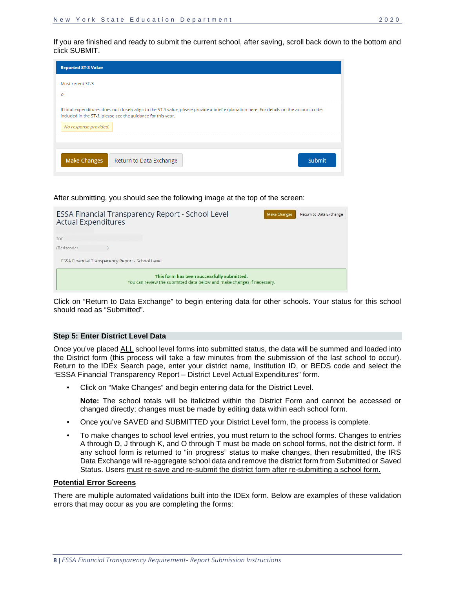

After submitting, you should see the following image at the top of the screen:

| ESSA Financial Transparency Report - School Level<br><b>Actual Expenditures</b> |                                                                                                                      | <b>Make Changes</b> | Return to Data Exchange |
|---------------------------------------------------------------------------------|----------------------------------------------------------------------------------------------------------------------|---------------------|-------------------------|
| for                                                                             |                                                                                                                      |                     |                         |
| (Bedscode:                                                                      |                                                                                                                      |                     |                         |
| ESSA Financial Transparency Report - School Level                               |                                                                                                                      |                     |                         |
|                                                                                 | This form has been successfully submitted.<br>You can review the submitted data below and make changes if necessary. |                     |                         |

Click on "Return to Data Exchange" to begin entering data for other schools. Your status for this school should read as "Submitted".

#### <span id="page-9-0"></span>**Step 5: Enter District Level Data**

Once you've placed ALL school level forms into submitted status, the data will be summed and loaded into the District form (this process will take a few minutes from the submission of the last school to occur). Return to the IDEx Search page, enter your district name, Institution ID, or BEDS code and select the "ESSA Financial Transparency Report – District Level Actual Expenditures" form.

• Click on "Make Changes" and begin entering data for the District Level.

**Note:** The school totals will be italicized within the District Form and cannot be accessed or changed directly; changes must be made by editing data within each school form.

- Once you've SAVED and SUBMITTED your District Level form, the process is complete.
- To make changes to school level entries, you must return to the school forms. Changes to entries A through D, J through K, and O through T must be made on school forms, not the district form. If any school form is returned to "in progress" status to make changes, then resubmitted, the IRS Data Exchange will re-aggregate school data and remove the district form from Submitted or Saved Status. Users must re-save and re-submit the district form after re-submitting a school form.

#### **Potential Error Screens**

There are multiple automated validations built into the IDEx form. Below are examples of these validation errors that may occur as you are completing the forms: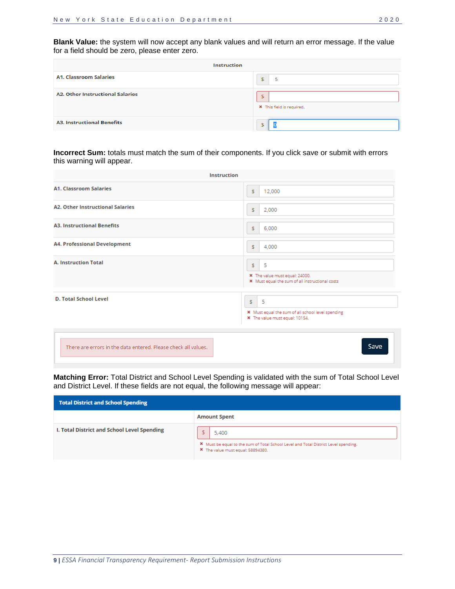**Blank Value:** the system will now accept any blank values and will return an error message. If the value for a field should be zero, please enter zero.

| <b>Instruction</b>                      |                                 |  |  |
|-----------------------------------------|---------------------------------|--|--|
| <b>A1. Classroom Salaries</b>           | ¢<br>5                          |  |  |
| <b>A2. Other Instructional Salaries</b> | \$<br>X This field is required. |  |  |
| <b>A3. Instructional Benefits</b>       |                                 |  |  |

**Incorrect Sum:** totals must match the sum of their components. If you click save or submit with errors this warning will appear.

| Instruction                                                    |                                                                                                 |
|----------------------------------------------------------------|-------------------------------------------------------------------------------------------------|
| <b>A1. Classroom Salaries</b>                                  | 12,000<br>s                                                                                     |
| <b>A2. Other Instructional Salaries</b>                        | 2,000<br>\$                                                                                     |
| <b>A3. Instructional Benefits</b>                              | 6,000<br>\$                                                                                     |
| <b>A4. Professional Development</b>                            | 4,000<br>\$                                                                                     |
| <b>A. Instruction Total</b>                                    | 5<br>\$<br>* The value must equal: 24000.<br>* Must equal the sum of all instructional costs    |
| <b>D. Total School Level</b>                                   | s.<br>-5<br>* Must equal the sum of all school level spending<br>* The value must equal: 10154. |
| There are errors in the data entered. Please check all values. | Save                                                                                            |

**Matching Error:** Total District and School Level Spending is validated with the sum of Total School Level and District Level. If these fields are not equal, the following message will appear:

| <b>Total District and School Spending</b>   |                                                                                                                                                |  |  |  |
|---------------------------------------------|------------------------------------------------------------------------------------------------------------------------------------------------|--|--|--|
|                                             | <b>Amount Spent</b>                                                                                                                            |  |  |  |
| I. Total District and School Level Spending | 5,400                                                                                                                                          |  |  |  |
|                                             | <sup>*</sup> Must be equal to the sum of Total School Level and Total District Level spending.<br><sup>*</sup> The value must equal: 58894380. |  |  |  |